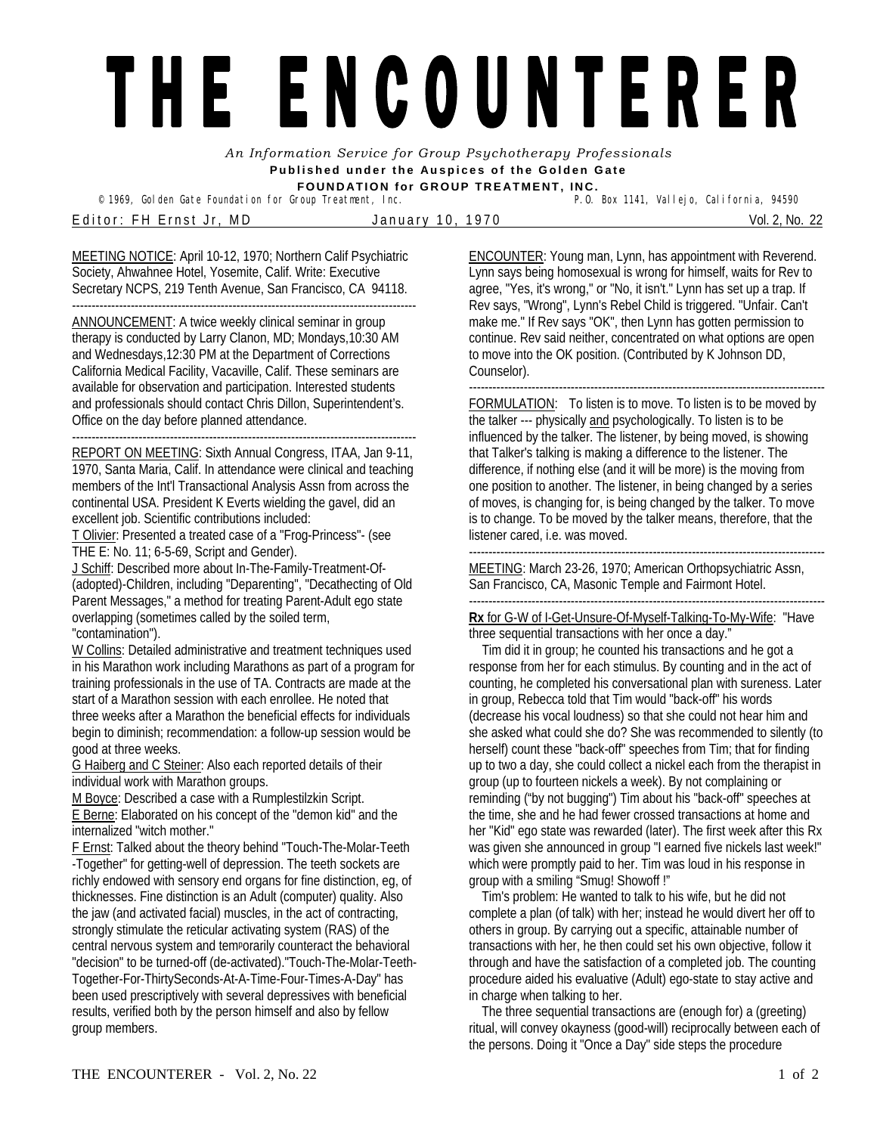## THE ENCOUNTERER

*An Information Service for Group Psychotherapy Professionals*  **Published under the Auspices of the Golden Gate FOUNDATION for GROUP TREATMENT, INC.** 

© 1969, Golden Gate Foundation for Group Treatment, Inc.

Editor: FH Ernst Jr, MD January 10, 1970 Vol. 2, No. 22

MEETING NOTICE: April 10-12, 1970; Northern Calif Psychiatric Society, Ahwahnee Hotel, Yosemite, Calif. Write: Executive Secretary NCPS, 219 Tenth Avenue, San Francisco, CA 94118.

---------------------------------------------------------------------------------------- ANNOUNCEMENT: A twice weekly clinical seminar in group therapy is conducted by Larry Clanon, MD; Mondays,10:30 AM and Wednesdays,12:30 PM at the Department of Corrections California Medical Facility, Vacaville, Calif. These seminars are available for observation and participation. Interested students and professionals should contact Chris Dillon, Superintendent's. Office on the day before planned attendance. ----------------------------------------------------------------------------------------

REPORT ON MEETING: Sixth Annual Congress, ITAA, Jan 9-11, 1970, Santa Maria, Calif. In attendance were clinical and teaching members of the Int'l Transactional Analysis Assn from across the continental USA. President K Everts wielding the gavel, did an excellent job. Scientific contributions included:

T Olivier: Presented a treated case of a "Frog-Princess"- (see THE E: No. 11; 6-5-69, Script and Gender).

J Schiff: Described more about In-The-Family-Treatment-Of- (adopted)-Children, including "Deparenting", "Decathecting of Old Parent Messages," a method for treating Parent-Adult ego state overlapping (sometimes called by the soiled term, "contamination").

W Collins: Detailed administrative and treatment techniques used in his Marathon work including Marathons as part of a program for training professionals in the use of TA. Contracts are made at the start of a Marathon session with each enrollee. He noted that three weeks after a Marathon the beneficial effects for individuals begin to diminish; recommendation: a follow-up session would be good at three weeks.

G Haiberg and C Steiner: Also each reported details of their individual work with Marathon groups.

M Boyce: Described a case with a Rumplestilzkin Script.

E Berne: Elaborated on his concept of the "demon kid" and the internalized "witch mother."

F Ernst: Talked about the theory behind "Touch-The-Molar-Teeth -Together" for getting-well of depression. The teeth sockets are richly endowed with sensory end organs for fine distinction, eg, of thicknesses. Fine distinction is an Adult (computer) quality. Also the jaw (and activated facial) muscles, in the act of contracting, strongly stimulate the reticular activating system (RAS) of the central nervous system and temporarily counteract the behavioral "decision" to be turned-off (de-activated)."Touch-The-Molar-Teeth-Together-For-ThirtySeconds-At-A-Time-Four-Times-A-Day" has been used prescriptively with several depressives with beneficial results, verified both by the person himself and also by fellow group members.

ENCOUNTER: Young man, Lynn, has appointment with Reverend. Lynn says being homosexual is wrong for himself, waits for Rev to agree, "Yes, it's wrong," or "No, it isn't." Lynn has set up a trap. If Rev says, "Wrong", Lynn's Rebel Child is triggered. "Unfair. Can't make me." If Rev says "OK", then Lynn has gotten permission to continue. Rev said neither, concentrated on what options are open to move into the OK position. (Contributed by K Johnson DD, Counselor).

------------------------------------------------------------------------------------------- FORMULATION: To listen is to move. To listen is to be moved by the talker --- physically and psychologically. To listen is to be influenced by the talker. The listener, by being moved, is showing that Talker's talking is making a difference to the listener. The difference, if nothing else (and it will be more) is the moving from one position to another. The listener, in being changed by a series of moves, is changing for, is being changed by the talker. To move is to change. To be moved by the talker means, therefore, that the listener cared, i.e. was moved.

-------------------------------------------------------------------------------------------

MEETING: March 23-26, 1970; American Orthopsychiatric Assn, San Francisco, CA, Masonic Temple and Fairmont Hotel.

**Rx** for G-W of I-Get-Unsure-Of-Myself-Talking-To-My-Wife: "Have three sequential transactions with her once a day."

 Tim did it in group; he counted his transactions and he got a response from her for each stimulus. By counting and in the act of counting, he completed his conversational plan with sureness. Later in group, Rebecca told that Tim would "back-off" his words (decrease his vocal loudness) so that she could not hear him and she asked what could she do? She was recommended to silently (to herself) count these "back-off" speeches from Tim; that for finding up to two a day, she could collect a nickel each from the therapist in group (up to fourteen nickels a week). By not complaining or reminding ("by not bugging") Tim about his "back-off" speeches at the time, she and he had fewer crossed transactions at home and her "Kid" ego state was rewarded (later). The first week after this Rx was given she announced in group "I earned five nickels last week!" which were promptly paid to her. Tim was loud in his response in group with a smiling "Smug! Showoff !"

 Tim's problem: He wanted to talk to his wife, but he did not complete a plan (of talk) with her; instead he would divert her off to others in group. By carrying out a specific, attainable number of transactions with her, he then could set his own objective, follow it through and have the satisfaction of a completed job. The counting procedure aided his evaluative (Adult) ego-state to stay active and in charge when talking to her.

 The three sequential transactions are (enough for) a (greeting) ritual, will convey okayness (good-will) reciprocally between each of the persons. Doing it "Once a Day" side steps the procedure